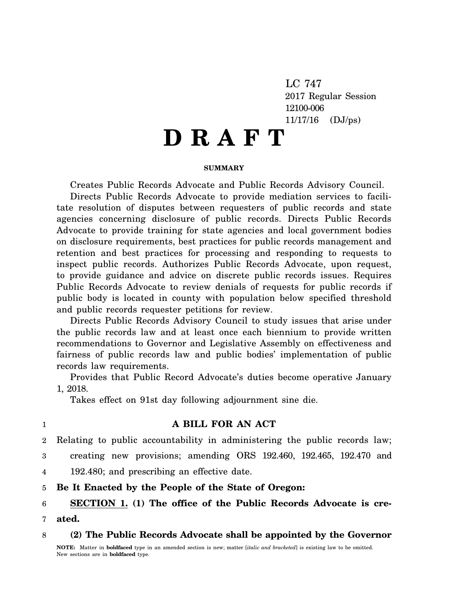LC 747 2017 Regular Session 12100-006 11/17/16 (DJ/ps)

# **D R A F T**

#### **SUMMARY**

Creates Public Records Advocate and Public Records Advisory Council.

Directs Public Records Advocate to provide mediation services to facilitate resolution of disputes between requesters of public records and state agencies concerning disclosure of public records. Directs Public Records Advocate to provide training for state agencies and local government bodies on disclosure requirements, best practices for public records management and retention and best practices for processing and responding to requests to inspect public records. Authorizes Public Records Advocate, upon request, to provide guidance and advice on discrete public records issues. Requires Public Records Advocate to review denials of requests for public records if public body is located in county with population below specified threshold and public records requester petitions for review.

Directs Public Records Advisory Council to study issues that arise under the public records law and at least once each biennium to provide written recommendations to Governor and Legislative Assembly on effectiveness and fairness of public records law and public bodies' implementation of public records law requirements.

Provides that Public Record Advocate's duties become operative January 1, 2018.

Takes effect on 91st day following adjournment sine die.

#### 1

# **A BILL FOR AN ACT**

2 Relating to public accountability in administering the public records law;

3 creating new provisions; amending ORS 192.460, 192.465, 192.470 and

4 192.480; and prescribing an effective date.

5 **Be It Enacted by the People of the State of Oregon:**

6 7 **SECTION 1. (1) The office of the Public Records Advocate is created.**

8 **(2) The Public Records Advocate shall be appointed by the Governor**

**NOTE:** Matter in **boldfaced** type in an amended section is new; matter [*italic and bracketed*] is existing law to be omitted. New sections are in **boldfaced** type.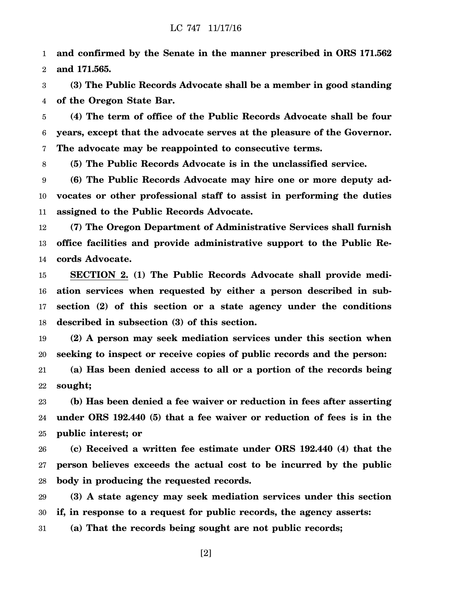1 2 **and confirmed by the Senate in the manner prescribed in ORS 171.562 and 171.565.**

3 4 **(3) The Public Records Advocate shall be a member in good standing of the Oregon State Bar.**

5 6 7 **(4) The term of office of the Public Records Advocate shall be four years, except that the advocate serves at the pleasure of the Governor. The advocate may be reappointed to consecutive terms.**

8 **(5) The Public Records Advocate is in the unclassified service.**

9 10 11 **(6) The Public Records Advocate may hire one or more deputy advocates or other professional staff to assist in performing the duties assigned to the Public Records Advocate.**

12 13 14 **(7) The Oregon Department of Administrative Services shall furnish office facilities and provide administrative support to the Public Records Advocate.**

15 16 17 18 **SECTION 2. (1) The Public Records Advocate shall provide mediation services when requested by either a person described in subsection (2) of this section or a state agency under the conditions described in subsection (3) of this section.**

19 20 **(2) A person may seek mediation services under this section when seeking to inspect or receive copies of public records and the person:**

21 22 **(a) Has been denied access to all or a portion of the records being sought;**

23 24 25 **(b) Has been denied a fee waiver or reduction in fees after asserting under ORS 192.440 (5) that a fee waiver or reduction of fees is in the public interest; or**

26 27 28 **(c) Received a written fee estimate under ORS 192.440 (4) that the person believes exceeds the actual cost to be incurred by the public body in producing the requested records.**

29 30 **(3) A state agency may seek mediation services under this section if, in response to a request for public records, the agency asserts:**

31 **(a) That the records being sought are not public records;**

[2]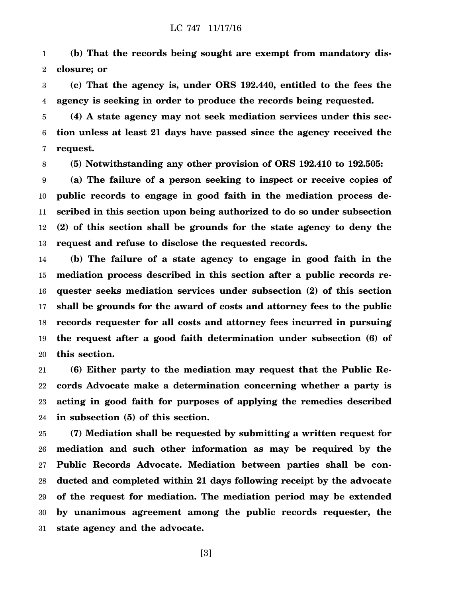1 2 **(b) That the records being sought are exempt from mandatory disclosure; or**

3 4 **(c) That the agency is, under ORS 192.440, entitled to the fees the agency is seeking in order to produce the records being requested.**

5 6 7 **(4) A state agency may not seek mediation services under this section unless at least 21 days have passed since the agency received the request.**

8 **(5) Notwithstanding any other provision of ORS 192.410 to 192.505:**

9 10 11 12 13 **(a) The failure of a person seeking to inspect or receive copies of public records to engage in good faith in the mediation process described in this section upon being authorized to do so under subsection (2) of this section shall be grounds for the state agency to deny the request and refuse to disclose the requested records.**

14 15 16 17 18 19 20 **(b) The failure of a state agency to engage in good faith in the mediation process described in this section after a public records requester seeks mediation services under subsection (2) of this section shall be grounds for the award of costs and attorney fees to the public records requester for all costs and attorney fees incurred in pursuing the request after a good faith determination under subsection (6) of this section.**

21 22 23 24 **(6) Either party to the mediation may request that the Public Records Advocate make a determination concerning whether a party is acting in good faith for purposes of applying the remedies described in subsection (5) of this section.**

25 26 27 28 29 30 31 **(7) Mediation shall be requested by submitting a written request for mediation and such other information as may be required by the Public Records Advocate. Mediation between parties shall be conducted and completed within 21 days following receipt by the advocate of the request for mediation. The mediation period may be extended by unanimous agreement among the public records requester, the state agency and the advocate.**

[3]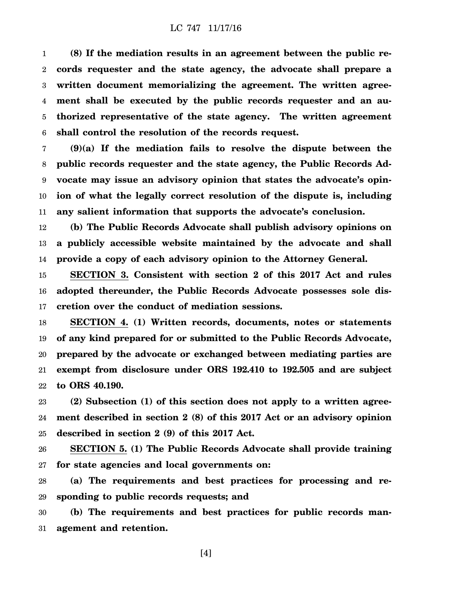1 2 3 4 5 6 **(8) If the mediation results in an agreement between the public records requester and the state agency, the advocate shall prepare a written document memorializing the agreement. The written agreement shall be executed by the public records requester and an authorized representative of the state agency. The written agreement shall control the resolution of the records request.**

7 8 9 10 11 **(9)(a) If the mediation fails to resolve the dispute between the public records requester and the state agency, the Public Records Advocate may issue an advisory opinion that states the advocate's opinion of what the legally correct resolution of the dispute is, including any salient information that supports the advocate's conclusion.**

12 13 14 **(b) The Public Records Advocate shall publish advisory opinions on a publicly accessible website maintained by the advocate and shall provide a copy of each advisory opinion to the Attorney General.**

15 16 17 **SECTION 3. Consistent with section 2 of this 2017 Act and rules adopted thereunder, the Public Records Advocate possesses sole discretion over the conduct of mediation sessions.**

18 19 20 21 22 **SECTION 4. (1) Written records, documents, notes or statements of any kind prepared for or submitted to the Public Records Advocate, prepared by the advocate or exchanged between mediating parties are exempt from disclosure under ORS 192.410 to 192.505 and are subject to ORS 40.190.**

23 24 25 **(2) Subsection (1) of this section does not apply to a written agreement described in section 2 (8) of this 2017 Act or an advisory opinion described in section 2 (9) of this 2017 Act.**

26 27 **SECTION 5. (1) The Public Records Advocate shall provide training for state agencies and local governments on:**

28 29 **(a) The requirements and best practices for processing and responding to public records requests; and**

30 31 **(b) The requirements and best practices for public records management and retention.**

[4]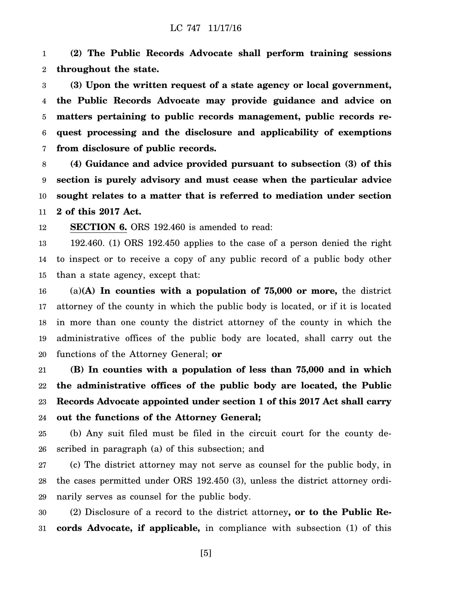1 2 **(2) The Public Records Advocate shall perform training sessions throughout the state.**

3 4 5 6 7 **(3) Upon the written request of a state agency or local government, the Public Records Advocate may provide guidance and advice on matters pertaining to public records management, public records request processing and the disclosure and applicability of exemptions from disclosure of public records.**

8 9 10 11 **(4) Guidance and advice provided pursuant to subsection (3) of this section is purely advisory and must cease when the particular advice sought relates to a matter that is referred to mediation under section 2 of this 2017 Act.**

12 **SECTION 6.** ORS 192.460 is amended to read:

13 14 15 192.460. (1) ORS 192.450 applies to the case of a person denied the right to inspect or to receive a copy of any public record of a public body other than a state agency, except that:

16 17 18 19 20 (a)**(A) In counties with a population of 75,000 or more,** the district attorney of the county in which the public body is located, or if it is located in more than one county the district attorney of the county in which the administrative offices of the public body are located, shall carry out the functions of the Attorney General; **or**

21 22 23 24 **(B) In counties with a population of less than 75,000 and in which the administrative offices of the public body are located, the Public Records Advocate appointed under section 1 of this 2017 Act shall carry out the functions of the Attorney General;**

25 26 (b) Any suit filed must be filed in the circuit court for the county described in paragraph (a) of this subsection; and

27 28 29 (c) The district attorney may not serve as counsel for the public body, in the cases permitted under ORS 192.450 (3), unless the district attorney ordinarily serves as counsel for the public body.

30 31 (2) Disclosure of a record to the district attorney**, or to the Public Records Advocate, if applicable,** in compliance with subsection (1) of this

[5]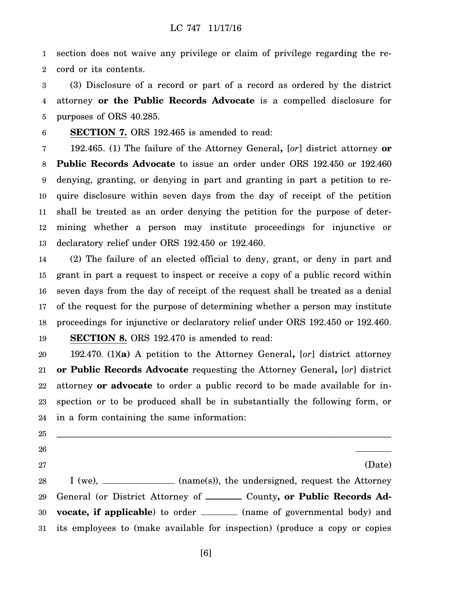1 2 section does not waive any privilege or claim of privilege regarding the record or its contents.

3 4 5 (3) Disclosure of a record or part of a record as ordered by the district attorney **or the Public Records Advocate** is a compelled disclosure for purposes of ORS 40.285.

6 **SECTION 7.** ORS 192.465 is amended to read:

7 8 9 10 11 12 13 192.465. (1) The failure of the Attorney General**,** [*or*] district attorney **or Public Records Advocate** to issue an order under ORS 192.450 or 192.460 denying, granting, or denying in part and granting in part a petition to require disclosure within seven days from the day of receipt of the petition shall be treated as an order denying the petition for the purpose of determining whether a person may institute proceedings for injunctive or declaratory relief under ORS 192.450 or 192.460.

14 15 16 17 18 (2) The failure of an elected official to deny, grant, or deny in part and grant in part a request to inspect or receive a copy of a public record within seven days from the day of receipt of the request shall be treated as a denial of the request for the purpose of determining whether a person may institute proceedings for injunctive or declaratory relief under ORS 192.450 or 192.460.

19 **SECTION 8.** ORS 192.470 is amended to read:

20 21 22 23 24 192.470. (1)**(a)** A petition to the Attorney General**,** [*or*] district attorney **or Public Records Advocate** requesting the Attorney General**,** [*or*] district attorney **or advocate** to order a public record to be made available for inspection or to be produced shall be in substantially the following form, or in a form containing the same information:

\_\_\_\_\_\_\_\_\_\_\_\_\_\_\_\_\_\_\_\_\_\_\_\_\_\_\_\_\_\_\_\_\_\_\_\_\_\_\_\_\_\_\_\_\_\_\_\_\_\_\_\_\_\_\_\_\_\_\_\_\_\_\_\_\_\_\_\_\_\_\_\_\_\_

25

26

27

(Date)

28 29 30 31 I (we), \_\_\_\_\_\_\_\_\_\_\_\_\_ (name(s)), the undersigned, request the Attorney General (or District Attorney of \_\_\_\_\_\_\_ County, or Public Records Ad**vocate, if applicable**) to order \_\_\_\_\_\_\_ (name of governmental body) and its employees to (make available for inspection) (produce a copy or copies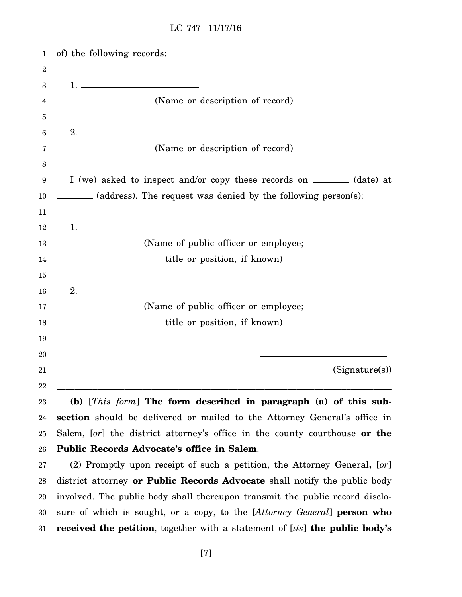| 1                | of) the following records:                                                                                                                                                                                                                                                                                                                    |
|------------------|-----------------------------------------------------------------------------------------------------------------------------------------------------------------------------------------------------------------------------------------------------------------------------------------------------------------------------------------------|
| $\boldsymbol{2}$ |                                                                                                                                                                                                                                                                                                                                               |
| 3                |                                                                                                                                                                                                                                                                                                                                               |
| 4                | (Name or description of record)                                                                                                                                                                                                                                                                                                               |
| 5                |                                                                                                                                                                                                                                                                                                                                               |
| 6                | 2.                                                                                                                                                                                                                                                                                                                                            |
| 7                | (Name or description of record)                                                                                                                                                                                                                                                                                                               |
| 8                |                                                                                                                                                                                                                                                                                                                                               |
| 9                | I (we) asked to inspect and/or copy these records on ________ (date) at                                                                                                                                                                                                                                                                       |
| 10               | (address). The request was denied by the following person(s):                                                                                                                                                                                                                                                                                 |
| 11               |                                                                                                                                                                                                                                                                                                                                               |
| 12               | $1.$ $\qquad \qquad$ $\qquad \qquad$ $\qquad$ $\qquad$ $\qquad$ $\qquad$ $\qquad$ $\qquad$ $\qquad$ $\qquad$ $\qquad$ $\qquad$ $\qquad$ $\qquad$ $\qquad$ $\qquad$ $\qquad$ $\qquad$ $\qquad$ $\qquad$ $\qquad$ $\qquad$ $\qquad$ $\qquad$ $\qquad$ $\qquad$ $\qquad$ $\qquad$ $\qquad$ $\qquad$ $\qquad$ $\qquad$ $\qquad$ $\qquad$ $\qquad$ |
| 13               | (Name of public officer or employee;                                                                                                                                                                                                                                                                                                          |
| 14               | title or position, if known)                                                                                                                                                                                                                                                                                                                  |
| 15               |                                                                                                                                                                                                                                                                                                                                               |
| 16               | 2.                                                                                                                                                                                                                                                                                                                                            |
| 17               | (Name of public officer or employee;                                                                                                                                                                                                                                                                                                          |
| 18               | title or position, if known)                                                                                                                                                                                                                                                                                                                  |
| 19               |                                                                                                                                                                                                                                                                                                                                               |
| 20               |                                                                                                                                                                                                                                                                                                                                               |
| 21               | (Signature(s))                                                                                                                                                                                                                                                                                                                                |
| $22\,$           |                                                                                                                                                                                                                                                                                                                                               |
| 23               | (b) [This form] The form described in paragraph (a) of this sub-                                                                                                                                                                                                                                                                              |
| 24               | section should be delivered or mailed to the Attorney General's office in                                                                                                                                                                                                                                                                     |
| 25               | Salem, [or] the district attorney's office in the county courthouse or the                                                                                                                                                                                                                                                                    |
| 26               | Public Records Advocate's office in Salem.                                                                                                                                                                                                                                                                                                    |

27 28 29 30 31 (2) Promptly upon receipt of such a petition, the Attorney General**,** [*or*] district attorney **or Public Records Advocate** shall notify the public body involved. The public body shall thereupon transmit the public record disclosure of which is sought, or a copy, to the [*Attorney General*] **person who received the petition**, together with a statement of [*its*] **the public body's**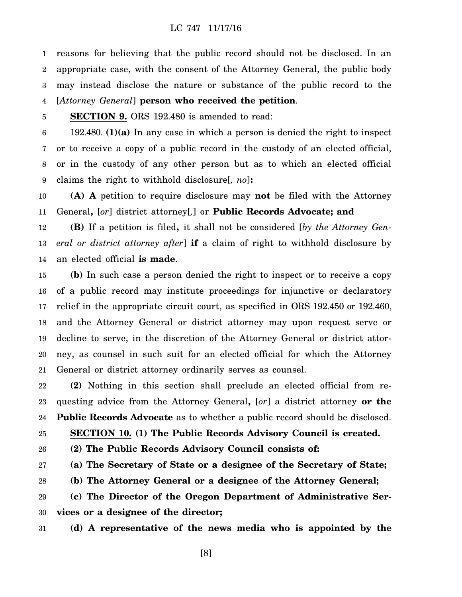1 2 3 4 reasons for believing that the public record should not be disclosed. In an appropriate case, with the consent of the Attorney General, the public body may instead disclose the nature or substance of the public record to the [*Attorney General*] **person who received the petition**.

#### 5 **SECTION 9.** ORS 192.480 is amended to read:

6 7 8 9 192.480. **(1)(a)** In any case in which a person is denied the right to inspect or to receive a copy of a public record in the custody of an elected official, or in the custody of any other person but as to which an elected official claims the right to withhold disclosure[*, no*]**:**

10 11 **(A) A** petition to require disclosure may **not** be filed with the Attorney General**,** [*or*] district attorney[*,*] or **Public Records Advocate; and**

12 13 14 **(B)** If a petition is filed**,** it shall not be considered [*by the Attorney General or district attorney after*] **if** a claim of right to withhold disclosure by an elected official **is made**.

15 16 17 18 19 20 21 **(b)** In such case a person denied the right to inspect or to receive a copy of a public record may institute proceedings for injunctive or declaratory relief in the appropriate circuit court, as specified in ORS 192.450 or 192.460, and the Attorney General or district attorney may upon request serve or decline to serve, in the discretion of the Attorney General or district attorney, as counsel in such suit for an elected official for which the Attorney General or district attorney ordinarily serves as counsel.

22 23 24 **(2)** Nothing in this section shall preclude an elected official from requesting advice from the Attorney General**,** [*or*] a district attorney **or the Public Records Advocate** as to whether a public record should be disclosed.

25 **SECTION 10. (1) The Public Records Advisory Council is created.**

26 **(2) The Public Records Advisory Council consists of:**

27 **(a) The Secretary of State or a designee of the Secretary of State;**

28 **(b) The Attorney General or a designee of the Attorney General;**

29 30 **(c) The Director of the Oregon Department of Administrative Services or a designee of the director;**

31 **(d) A representative of the news media who is appointed by the**

[8]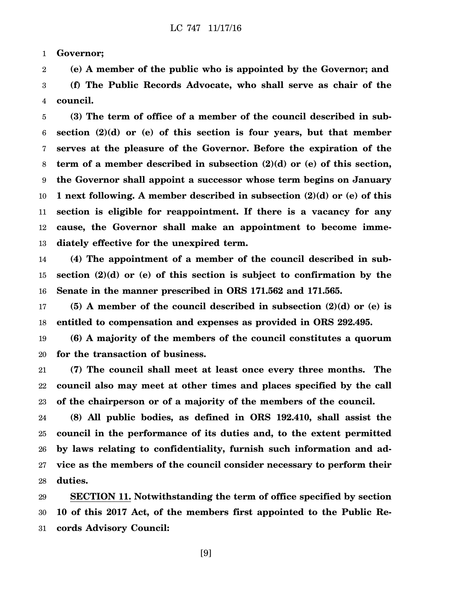1 **Governor;**

2 3 4 **(e) A member of the public who is appointed by the Governor; and (f) The Public Records Advocate, who shall serve as chair of the council.**

5 6 7 8 9 10 11 12 13 **(3) The term of office of a member of the council described in subsection (2)(d) or (e) of this section is four years, but that member serves at the pleasure of the Governor. Before the expiration of the term of a member described in subsection (2)(d) or (e) of this section, the Governor shall appoint a successor whose term begins on January 1 next following. A member described in subsection (2)(d) or (e) of this section is eligible for reappointment. If there is a vacancy for any cause, the Governor shall make an appointment to become immediately effective for the unexpired term.**

14 15 16 **(4) The appointment of a member of the council described in subsection (2)(d) or (e) of this section is subject to confirmation by the Senate in the manner prescribed in ORS 171.562 and 171.565.**

17 18 **(5) A member of the council described in subsection (2)(d) or (e) is entitled to compensation and expenses as provided in ORS 292.495.**

19 20 **(6) A majority of the members of the council constitutes a quorum for the transaction of business.**

21 22 23 **(7) The council shall meet at least once every three months. The council also may meet at other times and places specified by the call of the chairperson or of a majority of the members of the council.**

24 25 26 27 28 **(8) All public bodies, as defined in ORS 192.410, shall assist the council in the performance of its duties and, to the extent permitted by laws relating to confidentiality, furnish such information and advice as the members of the council consider necessary to perform their duties.**

29 30 31 **SECTION 11. Notwithstanding the term of office specified by section 10 of this 2017 Act, of the members first appointed to the Public Records Advisory Council:**

[9]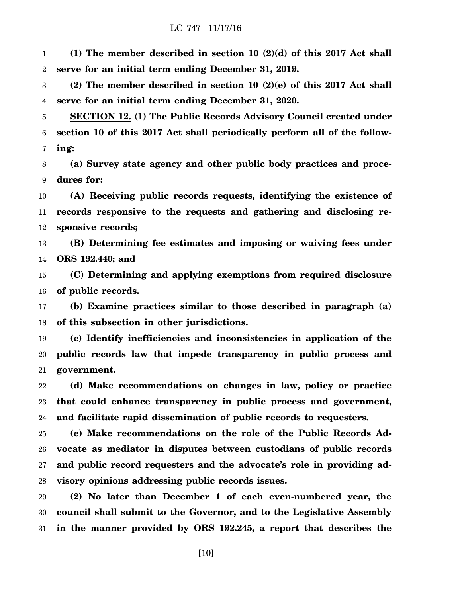1 2 **(1) The member described in section 10 (2)(d) of this 2017 Act shall serve for an initial term ending December 31, 2019.**

3 4 **(2) The member described in section 10 (2)(e) of this 2017 Act shall serve for an initial term ending December 31, 2020.**

5 6 7 **SECTION 12. (1) The Public Records Advisory Council created under section 10 of this 2017 Act shall periodically perform all of the following:**

8 9 **(a) Survey state agency and other public body practices and procedures for:**

10 11 12 **(A) Receiving public records requests, identifying the existence of records responsive to the requests and gathering and disclosing responsive records;**

13 14 **(B) Determining fee estimates and imposing or waiving fees under ORS 192.440; and**

15 16 **(C) Determining and applying exemptions from required disclosure of public records.**

17 18 **(b) Examine practices similar to those described in paragraph (a) of this subsection in other jurisdictions.**

19 20 21 **(c) Identify inefficiencies and inconsistencies in application of the public records law that impede transparency in public process and government.**

22 23 24 **(d) Make recommendations on changes in law, policy or practice that could enhance transparency in public process and government, and facilitate rapid dissemination of public records to requesters.**

25 26 27 28 **(e) Make recommendations on the role of the Public Records Advocate as mediator in disputes between custodians of public records and public record requesters and the advocate's role in providing advisory opinions addressing public records issues.**

29 30 31 **(2) No later than December 1 of each even-numbered year, the council shall submit to the Governor, and to the Legislative Assembly in the manner provided by ORS 192.245, a report that describes the**

[10]